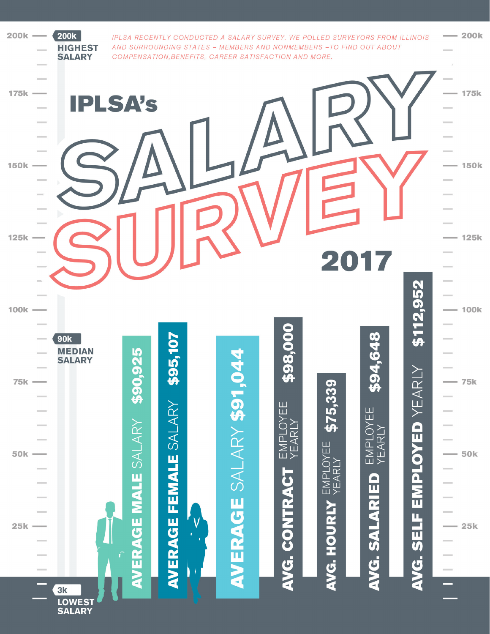